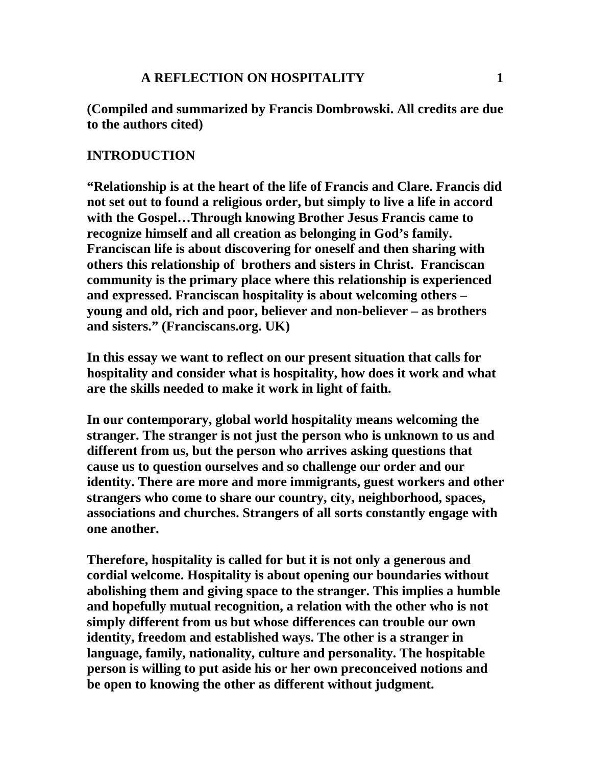## **A REFLECTION ON HOSPITALITY 1**

**(Compiled and summarized by Francis Dombrowski. All credits are due to the authors cited)** 

## **INTRODUCTION**

**"Relationship is at the heart of the life of Francis and Clare. Francis did not set out to found a religious order, but simply to live a life in accord with the Gospel…Through knowing Brother Jesus Francis came to recognize himself and all creation as belonging in God's family. Franciscan life is about discovering for oneself and then sharing with others this relationship of brothers and sisters in Christ. Franciscan community is the primary place where this relationship is experienced and expressed. Franciscan hospitality is about welcoming others – young and old, rich and poor, believer and non-believer – as brothers and sisters." (Franciscans.org. UK)** 

**In this essay we want to reflect on our present situation that calls for hospitality and consider what is hospitality, how does it work and what are the skills needed to make it work in light of faith.** 

**In our contemporary, global world hospitality means welcoming the stranger. The stranger is not just the person who is unknown to us and different from us, but the person who arrives asking questions that cause us to question ourselves and so challenge our order and our identity. There are more and more immigrants, guest workers and other strangers who come to share our country, city, neighborhood, spaces, associations and churches. Strangers of all sorts constantly engage with one another.** 

**Therefore, hospitality is called for but it is not only a generous and cordial welcome. Hospitality is about opening our boundaries without abolishing them and giving space to the stranger. This implies a humble and hopefully mutual recognition, a relation with the other who is not simply different from us but whose differences can trouble our own identity, freedom and established ways. The other is a stranger in language, family, nationality, culture and personality. The hospitable person is willing to put aside his or her own preconceived notions and be open to knowing the other as different without judgment.**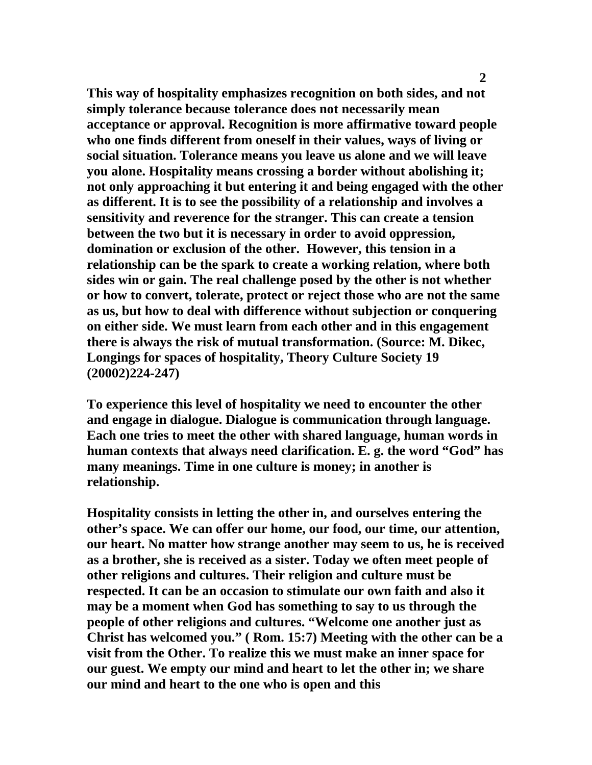**This way of hospitality emphasizes recognition on both sides, and not simply tolerance because tolerance does not necessarily mean acceptance or approval. Recognition is more affirmative toward people who one finds different from oneself in their values, ways of living or social situation. Tolerance means you leave us alone and we will leave you alone. Hospitality means crossing a border without abolishing it; not only approaching it but entering it and being engaged with the other as different. It is to see the possibility of a relationship and involves a sensitivity and reverence for the stranger. This can create a tension between the two but it is necessary in order to avoid oppression, domination or exclusion of the other. However, this tension in a relationship can be the spark to create a working relation, where both sides win or gain. The real challenge posed by the other is not whether or how to convert, tolerate, protect or reject those who are not the same as us, but how to deal with difference without subjection or conquering on either side. We must learn from each other and in this engagement there is always the risk of mutual transformation. (Source: M. Dikec, Longings for spaces of hospitality, Theory Culture Society 19 (20002)224-247)** 

**To experience this level of hospitality we need to encounter the other and engage in dialogue. Dialogue is communication through language. Each one tries to meet the other with shared language, human words in human contexts that always need clarification. E. g. the word "God" has many meanings. Time in one culture is money; in another is relationship.** 

**Hospitality consists in letting the other in, and ourselves entering the other's space. We can offer our home, our food, our time, our attention, our heart. No matter how strange another may seem to us, he is received as a brother, she is received as a sister. Today we often meet people of other religions and cultures. Their religion and culture must be respected. It can be an occasion to stimulate our own faith and also it may be a moment when God has something to say to us through the people of other religions and cultures. "Welcome one another just as Christ has welcomed you." ( Rom. 15:7) Meeting with the other can be a visit from the Other. To realize this we must make an inner space for our guest. We empty our mind and heart to let the other in; we share our mind and heart to the one who is open and this**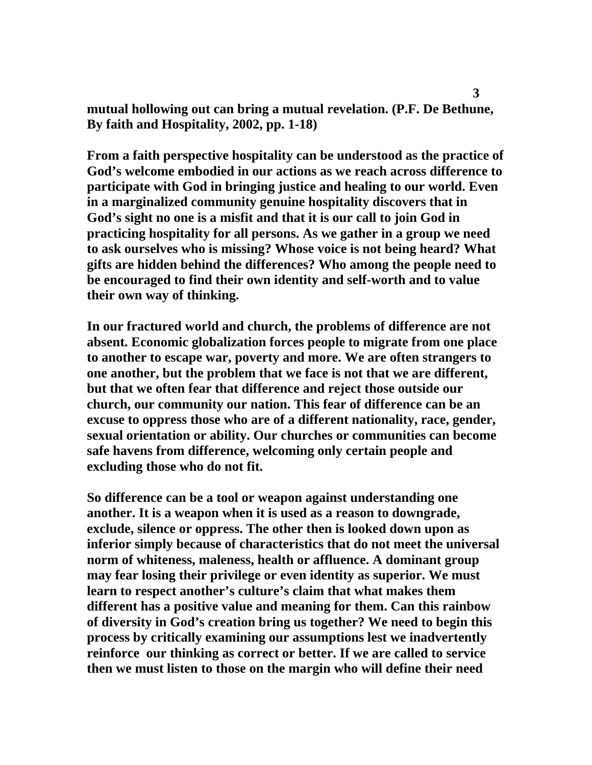**mutual hollowing out can bring a mutual revelation. (P.F. De Bethune, By faith and Hospitality, 2002, pp. 1-18)** 

**From a faith perspective hospitality can be understood as the practice of God's welcome embodied in our actions as we reach across difference to participate with God in bringing justice and healing to our world. Even in a marginalized community genuine hospitality discovers that in God's sight no one is a misfit and that it is our call to join God in practicing hospitality for all persons. As we gather in a group we need to ask ourselves who is missing? Whose voice is not being heard? What gifts are hidden behind the differences? Who among the people need to be encouraged to find their own identity and self-worth and to value their own way of thinking.** 

**In our fractured world and church, the problems of difference are not absent. Economic globalization forces people to migrate from one place to another to escape war, poverty and more. We are often strangers to one another, but the problem that we face is not that we are different, but that we often fear that difference and reject those outside our church, our community our nation. This fear of difference can be an excuse to oppress those who are of a different nationality, race, gender, sexual orientation or ability. Our churches or communities can become safe havens from difference, welcoming only certain people and excluding those who do not fit.** 

**So difference can be a tool or weapon against understanding one another. It is a weapon when it is used as a reason to downgrade, exclude, silence or oppress. The other then is looked down upon as inferior simply because of characteristics that do not meet the universal norm of whiteness, maleness, health or affluence. A dominant group may fear losing their privilege or even identity as superior. We must learn to respect another's culture's claim that what makes them different has a positive value and meaning for them. Can this rainbow of diversity in God's creation bring us together? We need to begin this process by critically examining our assumptions lest we inadvertently reinforce our thinking as correct or better. If we are called to service then we must listen to those on the margin who will define their need**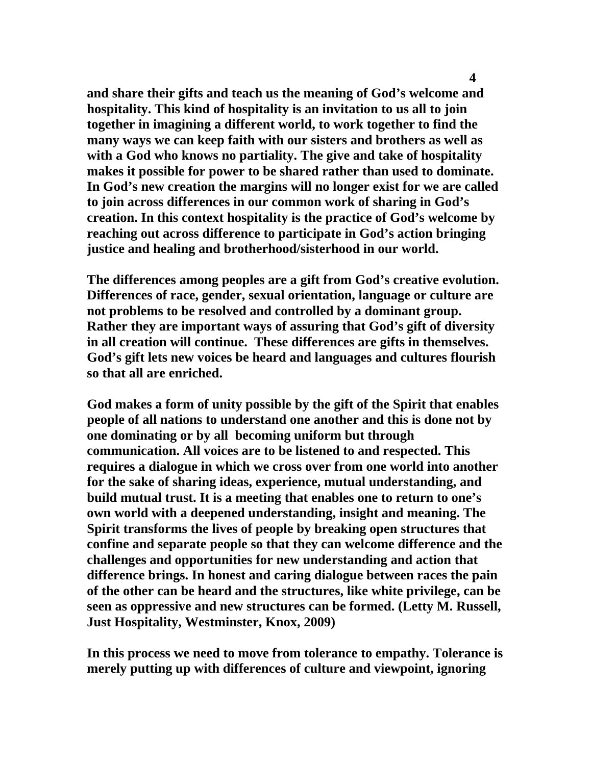**and share their gifts and teach us the meaning of God's welcome and hospitality. This kind of hospitality is an invitation to us all to join together in imagining a different world, to work together to find the many ways we can keep faith with our sisters and brothers as well as with a God who knows no partiality. The give and take of hospitality makes it possible for power to be shared rather than used to dominate. In God's new creation the margins will no longer exist for we are called to join across differences in our common work of sharing in God's creation. In this context hospitality is the practice of God's welcome by reaching out across difference to participate in God's action bringing justice and healing and brotherhood/sisterhood in our world.** 

**The differences among peoples are a gift from God's creative evolution. Differences of race, gender, sexual orientation, language or culture are not problems to be resolved and controlled by a dominant group. Rather they are important ways of assuring that God's gift of diversity in all creation will continue. These differences are gifts in themselves. God's gift lets new voices be heard and languages and cultures flourish so that all are enriched.** 

**God makes a form of unity possible by the gift of the Spirit that enables people of all nations to understand one another and this is done not by one dominating or by all becoming uniform but through communication. All voices are to be listened to and respected. This requires a dialogue in which we cross over from one world into another for the sake of sharing ideas, experience, mutual understanding, and build mutual trust. It is a meeting that enables one to return to one's own world with a deepened understanding, insight and meaning. The Spirit transforms the lives of people by breaking open structures that confine and separate people so that they can welcome difference and the challenges and opportunities for new understanding and action that difference brings. In honest and caring dialogue between races the pain of the other can be heard and the structures, like white privilege, can be seen as oppressive and new structures can be formed. (Letty M. Russell, Just Hospitality, Westminster, Knox, 2009)** 

**In this process we need to move from tolerance to empathy. Tolerance is merely putting up with differences of culture and viewpoint, ignoring**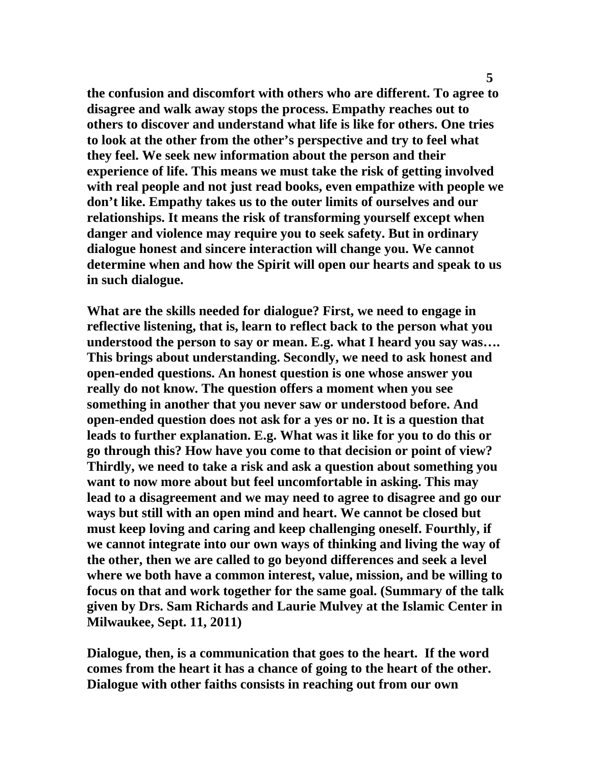**the confusion and discomfort with others who are different. To agree to disagree and walk away stops the process. Empathy reaches out to others to discover and understand what life is like for others. One tries to look at the other from the other's perspective and try to feel what they feel. We seek new information about the person and their experience of life. This means we must take the risk of getting involved with real people and not just read books, even empathize with people we don't like. Empathy takes us to the outer limits of ourselves and our relationships. It means the risk of transforming yourself except when danger and violence may require you to seek safety. But in ordinary dialogue honest and sincere interaction will change you. We cannot determine when and how the Spirit will open our hearts and speak to us in such dialogue.** 

**What are the skills needed for dialogue? First, we need to engage in reflective listening, that is, learn to reflect back to the person what you understood the person to say or mean. E.g. what I heard you say was…. This brings about understanding. Secondly, we need to ask honest and open-ended questions. An honest question is one whose answer you really do not know. The question offers a moment when you see something in another that you never saw or understood before. And open-ended question does not ask for a yes or no. It is a question that leads to further explanation. E.g. What was it like for you to do this or go through this? How have you come to that decision or point of view? Thirdly, we need to take a risk and ask a question about something you want to now more about but feel uncomfortable in asking. This may lead to a disagreement and we may need to agree to disagree and go our ways but still with an open mind and heart. We cannot be closed but must keep loving and caring and keep challenging oneself. Fourthly, if we cannot integrate into our own ways of thinking and living the way of the other, then we are called to go beyond differences and seek a level where we both have a common interest, value, mission, and be willing to focus on that and work together for the same goal. (Summary of the talk given by Drs. Sam Richards and Laurie Mulvey at the Islamic Center in Milwaukee, Sept. 11, 2011)** 

**Dialogue, then, is a communication that goes to the heart. If the word comes from the heart it has a chance of going to the heart of the other. Dialogue with other faiths consists in reaching out from our own**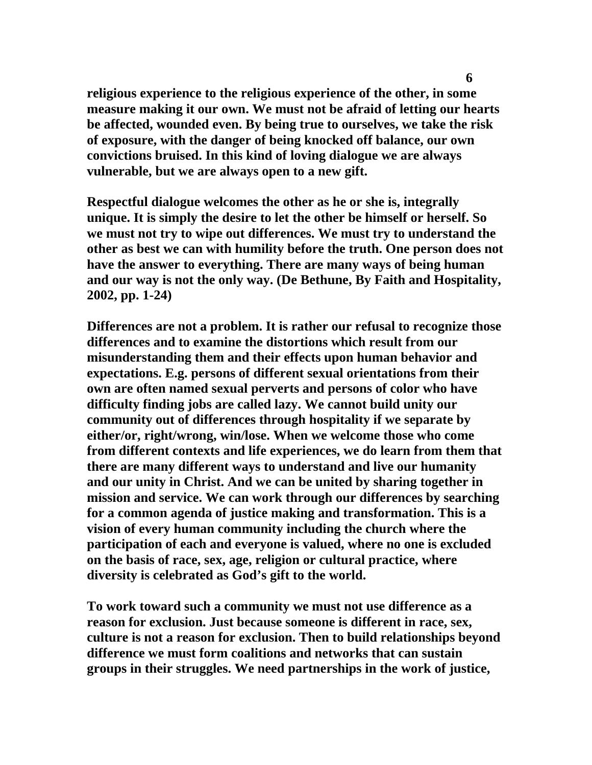**religious experience to the religious experience of the other, in some measure making it our own. We must not be afraid of letting our hearts be affected, wounded even. By being true to ourselves, we take the risk of exposure, with the danger of being knocked off balance, our own convictions bruised. In this kind of loving dialogue we are always vulnerable, but we are always open to a new gift.** 

**Respectful dialogue welcomes the other as he or she is, integrally unique. It is simply the desire to let the other be himself or herself. So we must not try to wipe out differences. We must try to understand the other as best we can with humility before the truth. One person does not have the answer to everything. There are many ways of being human and our way is not the only way. (De Bethune, By Faith and Hospitality, 2002, pp. 1-24)** 

**Differences are not a problem. It is rather our refusal to recognize those differences and to examine the distortions which result from our misunderstanding them and their effects upon human behavior and expectations. E.g. persons of different sexual orientations from their own are often named sexual perverts and persons of color who have difficulty finding jobs are called lazy. We cannot build unity our community out of differences through hospitality if we separate by either/or, right/wrong, win/lose. When we welcome those who come from different contexts and life experiences, we do learn from them that there are many different ways to understand and live our humanity and our unity in Christ. And we can be united by sharing together in mission and service. We can work through our differences by searching for a common agenda of justice making and transformation. This is a vision of every human community including the church where the participation of each and everyone is valued, where no one is excluded on the basis of race, sex, age, religion or cultural practice, where diversity is celebrated as God's gift to the world.** 

**To work toward such a community we must not use difference as a reason for exclusion. Just because someone is different in race, sex, culture is not a reason for exclusion. Then to build relationships beyond difference we must form coalitions and networks that can sustain groups in their struggles. We need partnerships in the work of justice,**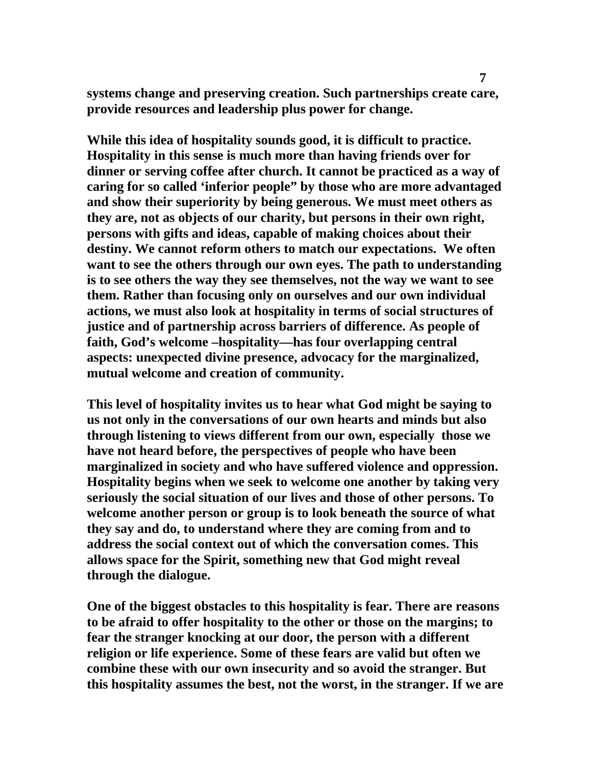**systems change and preserving creation. Such partnerships create care, provide resources and leadership plus power for change.** 

**While this idea of hospitality sounds good, it is difficult to practice. Hospitality in this sense is much more than having friends over for dinner or serving coffee after church. It cannot be practiced as a way of caring for so called 'inferior people" by those who are more advantaged and show their superiority by being generous. We must meet others as they are, not as objects of our charity, but persons in their own right, persons with gifts and ideas, capable of making choices about their destiny. We cannot reform others to match our expectations. We often want to see the others through our own eyes. The path to understanding is to see others the way they see themselves, not the way we want to see them. Rather than focusing only on ourselves and our own individual actions, we must also look at hospitality in terms of social structures of justice and of partnership across barriers of difference. As people of faith, God's welcome –hospitality—has four overlapping central aspects: unexpected divine presence, advocacy for the marginalized, mutual welcome and creation of community.** 

**This level of hospitality invites us to hear what God might be saying to us not only in the conversations of our own hearts and minds but also through listening to views different from our own, especially those we have not heard before, the perspectives of people who have been marginalized in society and who have suffered violence and oppression. Hospitality begins when we seek to welcome one another by taking very seriously the social situation of our lives and those of other persons. To welcome another person or group is to look beneath the source of what they say and do, to understand where they are coming from and to address the social context out of which the conversation comes. This allows space for the Spirit, something new that God might reveal through the dialogue.** 

**One of the biggest obstacles to this hospitality is fear. There are reasons to be afraid to offer hospitality to the other or those on the margins; to fear the stranger knocking at our door, the person with a different religion or life experience. Some of these fears are valid but often we combine these with our own insecurity and so avoid the stranger. But this hospitality assumes the best, not the worst, in the stranger. If we are**